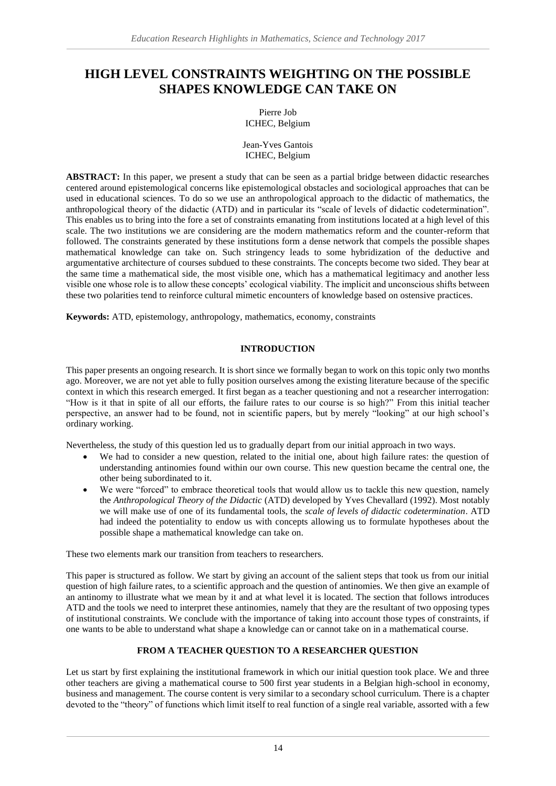# **HIGH LEVEL CONSTRAINTS WEIGHTING ON THE POSSIBLE SHAPES KNOWLEDGE CAN TAKE ON**

Pierre Job ICHEC, Belgium

Jean-Yves Gantois ICHEC, Belgium

**ABSTRACT:** In this paper, we present a study that can be seen as a partial bridge between didactic researches centered around epistemological concerns like epistemological obstacles and sociological approaches that can be used in educational sciences. To do so we use an anthropological approach to the didactic of mathematics, the anthropological theory of the didactic (ATD) and in particular its "scale of levels of didactic codetermination". This enables us to bring into the fore a set of constraints emanating from institutions located at a high level of this scale. The two institutions we are considering are the modern mathematics reform and the counter-reform that followed. The constraints generated by these institutions form a dense network that compels the possible shapes mathematical knowledge can take on. Such stringency leads to some hybridization of the deductive and argumentative architecture of courses subdued to these constraints. The concepts become two sided. They bear at the same time a mathematical side, the most visible one, which has a mathematical legitimacy and another less visible one whose role is to allow these concepts' ecological viability. The implicit and unconscious shifts between these two polarities tend to reinforce cultural mimetic encounters of knowledge based on ostensive practices.

**Keywords:** ATD, epistemology, anthropology, mathematics, economy, constraints

## **INTRODUCTION**

This paper presents an ongoing research. It is short since we formally began to work on this topic only two months ago. Moreover, we are not yet able to fully position ourselves among the existing literature because of the specific context in which this research emerged. It first began as a teacher questioning and not a researcher interrogation: "How is it that in spite of all our efforts, the failure rates to our course is so high?" From this initial teacher perspective, an answer had to be found, not in scientific papers, but by merely "looking" at our high school's ordinary working.

Nevertheless, the study of this question led us to gradually depart from our initial approach in two ways.

- We had to consider a new question, related to the initial one, about high failure rates: the question of understanding antinomies found within our own course. This new question became the central one, the other being subordinated to it.
- We were "forced" to embrace theoretical tools that would allow us to tackle this new question, namely the *Anthropological Theory of the Didactic* (ATD) developed by Yves Chevallard (1992). Most notably we will make use of one of its fundamental tools, the *scale of levels of didactic codetermination*. ATD had indeed the potentiality to endow us with concepts allowing us to formulate hypotheses about the possible shape a mathematical knowledge can take on.

These two elements mark our transition from teachers to researchers.

This paper is structured as follow. We start by giving an account of the salient steps that took us from our initial question of high failure rates, to a scientific approach and the question of antinomies. We then give an example of an antinomy to illustrate what we mean by it and at what level it is located. The section that follows introduces ATD and the tools we need to interpret these antinomies, namely that they are the resultant of two opposing types of institutional constraints. We conclude with the importance of taking into account those types of constraints, if one wants to be able to understand what shape a knowledge can or cannot take on in a mathematical course.

## **FROM A TEACHER QUESTION TO A RESEARCHER QUESTION**

Let us start by first explaining the institutional framework in which our initial question took place. We and three other teachers are giving a mathematical course to 500 first year students in a Belgian high-school in economy, business and management. The course content is very similar to a secondary school curriculum. There is a chapter devoted to the "theory" of functions which limit itself to real function of a single real variable, assorted with a few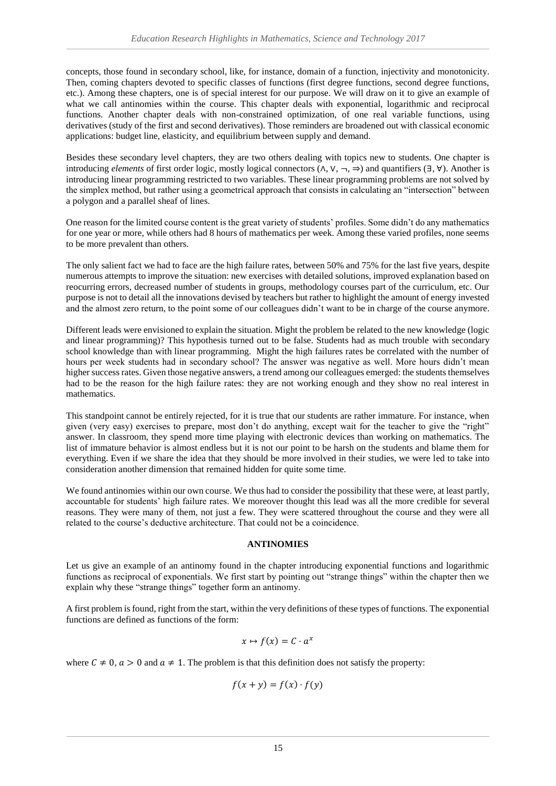concepts, those found in secondary school, like, for instance, domain of a function, injectivity and monotonicity. Then, coming chapters devoted to specific classes of functions (first degree functions, second degree functions, etc.). Among these chapters, one is of special interest for our purpose. We will draw on it to give an example of what we call antinomies within the course. This chapter deals with exponential, logarithmic and reciprocal functions. Another chapter deals with non-constrained optimization, of one real variable functions, using derivatives (study of the first and second derivatives). Those reminders are broadened out with classical economic applications: budget line, elasticity, and equilibrium between supply and demand.

Besides these secondary level chapters, they are two others dealing with topics new to students. One chapter is introducing *elements* of first order logic, mostly logical connectors (∧, ∨, ¬, ⇒) and quantifiers (∃, ∀). Another is introducing linear programming restricted to two variables. These linear programming problems are not solved by the simplex method, but rather using a geometrical approach that consists in calculating an "intersection" between a polygon and a parallel sheaf of lines.

One reason for the limited course content is the great variety of students' profiles. Some didn't do any mathematics for one year or more, while others had 8 hours of mathematics per week. Among these varied profiles, none seems to be more prevalent than others.

The only salient fact we had to face are the high failure rates, between 50% and 75% for the last five years, despite numerous attempts to improve the situation: new exercises with detailed solutions, improved explanation based on reocurring errors, decreased number of students in groups, methodology courses part of the curriculum, etc. Our purpose is not to detail all the innovations devised by teachers but rather to highlight the amount of energy invested and the almost zero return, to the point some of our colleagues didn't want to be in charge of the course anymore.

Different leads were envisioned to explain the situation. Might the problem be related to the new knowledge (logic and linear programming)? This hypothesis turned out to be false. Students had as much trouble with secondary school knowledge than with linear programming. Might the high failures rates be correlated with the number of hours per week students had in secondary school? The answer was negative as well. More hours didn't mean higher success rates. Given those negative answers, a trend among our colleagues emerged: the students themselves had to be the reason for the high failure rates: they are not working enough and they show no real interest in mathematics.

This standpoint cannot be entirely rejected, for it is true that our students are rather immature. For instance, when given (very easy) exercises to prepare, most don't do anything, except wait for the teacher to give the "right" answer. In classroom, they spend more time playing with electronic devices than working on mathematics. The list of immature behavior is almost endless but it is not our point to be harsh on the students and blame them for everything. Even if we share the idea that they should be more involved in their studies, we were led to take into consideration another dimension that remained hidden for quite some time.

We found antinomies within our own course. We thus had to consider the possibility that these were, at least partly, accountable for students' high failure rates. We moreover thought this lead was all the more credible for several reasons. They were many of them, not just a few. They were scattered throughout the course and they were all related to the course's deductive architecture. That could not be a coincidence.

## **ANTINOMIES**

Let us give an example of an antinomy found in the chapter introducing exponential functions and logarithmic functions as reciprocal of exponentials. We first start by pointing out "strange things" within the chapter then we explain why these "strange things" together form an antinomy.

A first problem is found, right from the start, within the very definitions of these types of functions. The exponential functions are defined as functions of the form:

$$
x \mapsto f(x) = C \cdot a^x
$$

where  $C \neq 0$ ,  $a > 0$  and  $a \neq 1$ . The problem is that this definition does not satisfy the property:

$$
f(x + y) = f(x) \cdot f(y)
$$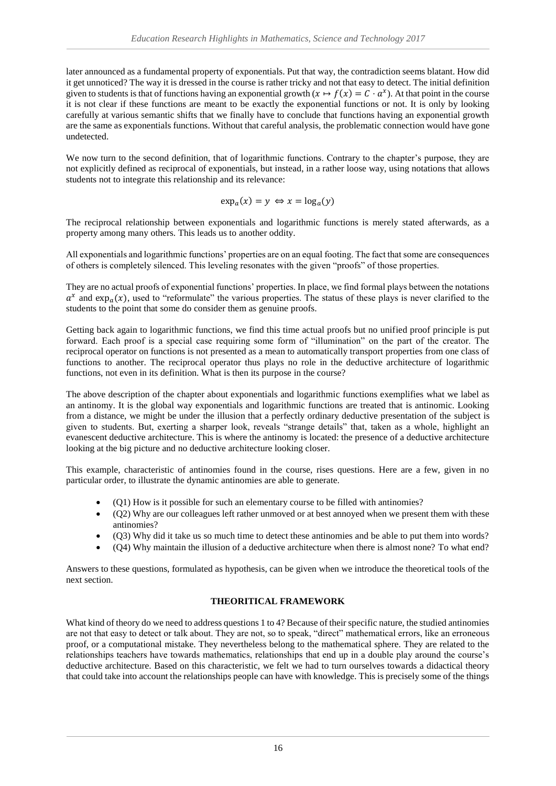later announced as a fundamental property of exponentials. Put that way, the contradiction seems blatant. How did it get unnoticed? The way it is dressed in the course is rather tricky and not that easy to detect. The initial definition given to students is that of functions having an exponential growth  $(x \mapsto f(x) = C \cdot a^x)$ . At that point in the course it is not clear if these functions are meant to be exactly the exponential functions or not. It is only by looking carefully at various semantic shifts that we finally have to conclude that functions having an exponential growth are the same as exponentials functions. Without that careful analysis, the problematic connection would have gone undetected.

We now turn to the second definition, that of logarithmic functions. Contrary to the chapter's purpose, they are not explicitly defined as reciprocal of exponentials, but instead, in a rather loose way, using notations that allows students not to integrate this relationship and its relevance:

$$
\exp_a(x) = y \Leftrightarrow x = \log_a(y)
$$

The reciprocal relationship between exponentials and logarithmic functions is merely stated afterwards, as a property among many others. This leads us to another oddity.

All exponentials and logarithmic functions' properties are on an equal footing. The fact that some are consequences of others is completely silenced. This leveling resonates with the given "proofs" of those properties.

They are no actual proofs of exponential functions' properties. In place, we find formal plays between the notations  $a^x$  and  $\exp_a(x)$ , used to "reformulate" the various properties. The status of these plays is never clarified to the students to the point that some do consider them as genuine proofs.

Getting back again to logarithmic functions, we find this time actual proofs but no unified proof principle is put forward. Each proof is a special case requiring some form of "illumination" on the part of the creator. The reciprocal operator on functions is not presented as a mean to automatically transport properties from one class of functions to another. The reciprocal operator thus plays no role in the deductive architecture of logarithmic functions, not even in its definition. What is then its purpose in the course?

The above description of the chapter about exponentials and logarithmic functions exemplifies what we label as an antinomy. It is the global way exponentials and logarithmic functions are treated that is antinomic. Looking from a distance, we might be under the illusion that a perfectly ordinary deductive presentation of the subject is given to students. But, exerting a sharper look, reveals "strange details" that, taken as a whole, highlight an evanescent deductive architecture. This is where the antinomy is located: the presence of a deductive architecture looking at the big picture and no deductive architecture looking closer.

This example, characteristic of antinomies found in the course, rises questions. Here are a few, given in no particular order, to illustrate the dynamic antinomies are able to generate.

- (Q1) How is it possible for such an elementary course to be filled with antinomies?
- (Q2) Why are our colleagues left rather unmoved or at best annoyed when we present them with these antinomies?
- (Q3) Why did it take us so much time to detect these antinomies and be able to put them into words?
- (Q4) Why maintain the illusion of a deductive architecture when there is almost none? To what end?

Answers to these questions, formulated as hypothesis, can be given when we introduce the theoretical tools of the next section.

## **THEORITICAL FRAMEWORK**

What kind of theory do we need to address questions 1 to 4? Because of their specific nature, the studied antinomies are not that easy to detect or talk about. They are not, so to speak, "direct" mathematical errors, like an erroneous proof, or a computational mistake. They nevertheless belong to the mathematical sphere. They are related to the relationships teachers have towards mathematics, relationships that end up in a double play around the course's deductive architecture. Based on this characteristic, we felt we had to turn ourselves towards a didactical theory that could take into account the relationships people can have with knowledge. This is precisely some of the things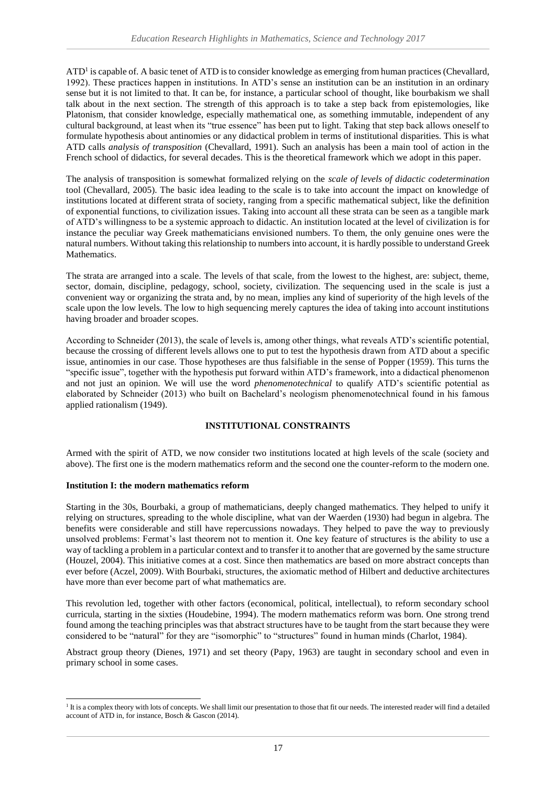ATD<sup>1</sup> is capable of. A basic tenet of ATD is to consider knowledge as emerging from human practices (Chevallard, 1992). These practices happen in institutions. In ATD's sense an institution can be an institution in an ordinary sense but it is not limited to that. It can be, for instance, a particular school of thought, like bourbakism we shall talk about in the next section. The strength of this approach is to take a step back from epistemologies, like Platonism, that consider knowledge, especially mathematical one, as something immutable, independent of any cultural background, at least when its "true essence" has been put to light. Taking that step back allows oneself to formulate hypothesis about antinomies or any didactical problem in terms of institutional disparities. This is what ATD calls *analysis of transposition* (Chevallard, 1991). Such an analysis has been a main tool of action in the French school of didactics, for several decades. This is the theoretical framework which we adopt in this paper.

The analysis of transposition is somewhat formalized relying on the *scale of levels of didactic codetermination* tool (Chevallard, 2005). The basic idea leading to the scale is to take into account the impact on knowledge of institutions located at different strata of society, ranging from a specific mathematical subject, like the definition of exponential functions, to civilization issues. Taking into account all these strata can be seen as a tangible mark of ATD's willingness to be a systemic approach to didactic. An institution located at the level of civilization is for instance the peculiar way Greek mathematicians envisioned numbers. To them, the only genuine ones were the natural numbers. Without taking this relationship to numbers into account, it is hardly possible to understand Greek Mathematics.

The strata are arranged into a scale. The levels of that scale, from the lowest to the highest, are: subject, theme, sector, domain, discipline, pedagogy, school, society, civilization. The sequencing used in the scale is just a convenient way or organizing the strata and, by no mean, implies any kind of superiority of the high levels of the scale upon the low levels. The low to high sequencing merely captures the idea of taking into account institutions having broader and broader scopes.

According to Schneider (2013), the scale of levels is, among other things, what reveals ATD's scientific potential, because the crossing of different levels allows one to put to test the hypothesis drawn from ATD about a specific issue, antinomies in our case. Those hypotheses are thus falsifiable in the sense of Popper (1959). This turns the "specific issue", together with the hypothesis put forward within ATD's framework, into a didactical phenomenon and not just an opinion. We will use the word *phenomenotechnical* to qualify ATD's scientific potential as elaborated by Schneider (2013) who built on Bachelard's neologism phenomenotechnical found in his famous applied rationalism (1949).

## **INSTITUTIONAL CONSTRAINTS**

Armed with the spirit of ATD, we now consider two institutions located at high levels of the scale (society and above). The first one is the modern mathematics reform and the second one the counter-reform to the modern one.

## **Institution I: the modern mathematics reform**

-

Starting in the 30s, Bourbaki, a group of mathematicians, deeply changed mathematics. They helped to unify it relying on structures, spreading to the whole discipline, what van der Waerden (1930) had begun in algebra. The benefits were considerable and still have repercussions nowadays. They helped to pave the way to previously unsolved problems: Fermat's last theorem not to mention it. One key feature of structures is the ability to use a way of tackling a problem in a particular context and to transfer it to another that are governed by the same structure (Houzel, 2004). This initiative comes at a cost. Since then mathematics are based on more abstract concepts than ever before (Aczel, 2009). With Bourbaki, structures, the axiomatic method of Hilbert and deductive architectures have more than ever become part of what mathematics are.

This revolution led, together with other factors (economical, political, intellectual), to reform secondary school curricula, starting in the sixties (Houdebine, 1994). The modern mathematics reform was born. One strong trend found among the teaching principles was that abstract structures have to be taught from the start because they were considered to be "natural" for they are "isomorphic" to "structures" found in human minds (Charlot, 1984).

Abstract group theory (Dienes, 1971) and set theory (Papy, 1963) are taught in secondary school and even in primary school in some cases.

<sup>&</sup>lt;sup>1</sup> It is a complex theory with lots of concepts. We shall limit our presentation to those that fit our needs. The interested reader will find a detailed account of ATD in, for instance, Bosch & Gascon (2014).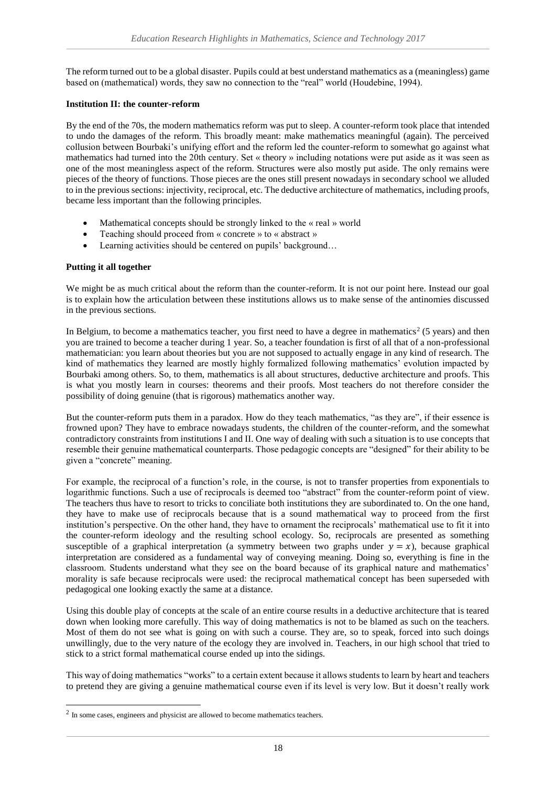The reform turned out to be a global disaster. Pupils could at best understand mathematics as a (meaningless) game based on (mathematical) words, they saw no connection to the "real" world (Houdebine, 1994).

#### **Institution II: the counter-reform**

By the end of the 70s, the modern mathematics reform was put to sleep. A counter-reform took place that intended to undo the damages of the reform. This broadly meant: make mathematics meaningful (again). The perceived collusion between Bourbaki's unifying effort and the reform led the counter-reform to somewhat go against what mathematics had turned into the 20th century. Set « theory » including notations were put aside as it was seen as one of the most meaningless aspect of the reform. Structures were also mostly put aside. The only remains were pieces of the theory of functions. Those pieces are the ones still present nowadays in secondary school we alluded to in the previous sections: injectivity, reciprocal, etc. The deductive architecture of mathematics, including proofs, became less important than the following principles.

- Mathematical concepts should be strongly linked to the « real » world
- Teaching should proceed from « concrete » to « abstract »
- Learning activities should be centered on pupils' background...

## **Putting it all together**

-

We might be as much critical about the reform than the counter-reform. It is not our point here. Instead our goal is to explain how the articulation between these institutions allows us to make sense of the antinomies discussed in the previous sections.

In Belgium, to become a mathematics teacher, you first need to have a degree in mathematics<sup>2</sup> (5 years) and then you are trained to become a teacher during 1 year. So, a teacher foundation is first of all that of a non-professional mathematician: you learn about theories but you are not supposed to actually engage in any kind of research. The kind of mathematics they learned are mostly highly formalized following mathematics' evolution impacted by Bourbaki among others. So, to them, mathematics is all about structures, deductive architecture and proofs. This is what you mostly learn in courses: theorems and their proofs. Most teachers do not therefore consider the possibility of doing genuine (that is rigorous) mathematics another way.

But the counter-reform puts them in a paradox. How do they teach mathematics, "as they are", if their essence is frowned upon? They have to embrace nowadays students, the children of the counter-reform, and the somewhat contradictory constraints from institutions I and II. One way of dealing with such a situation is to use concepts that resemble their genuine mathematical counterparts. Those pedagogic concepts are "designed" for their ability to be given a "concrete" meaning.

For example, the reciprocal of a function's role, in the course, is not to transfer properties from exponentials to logarithmic functions. Such a use of reciprocals is deemed too "abstract" from the counter-reform point of view. The teachers thus have to resort to tricks to conciliate both institutions they are subordinated to. On the one hand, they have to make use of reciprocals because that is a sound mathematical way to proceed from the first institution's perspective. On the other hand, they have to ornament the reciprocals' mathematical use to fit it into the counter-reform ideology and the resulting school ecology. So, reciprocals are presented as something susceptible of a graphical interpretation (a symmetry between two graphs under  $y = x$ ), because graphical interpretation are considered as a fundamental way of conveying meaning. Doing so, everything is fine in the classroom. Students understand what they see on the board because of its graphical nature and mathematics' morality is safe because reciprocals were used: the reciprocal mathematical concept has been superseded with pedagogical one looking exactly the same at a distance.

Using this double play of concepts at the scale of an entire course results in a deductive architecture that is teared down when looking more carefully. This way of doing mathematics is not to be blamed as such on the teachers. Most of them do not see what is going on with such a course. They are, so to speak, forced into such doings unwillingly, due to the very nature of the ecology they are involved in. Teachers, in our high school that tried to stick to a strict formal mathematical course ended up into the sidings.

This way of doing mathematics "works" to a certain extent because it allows students to learn by heart and teachers to pretend they are giving a genuine mathematical course even if its level is very low. But it doesn't really work

 $2$  In some cases, engineers and physicist are allowed to become mathematics teachers.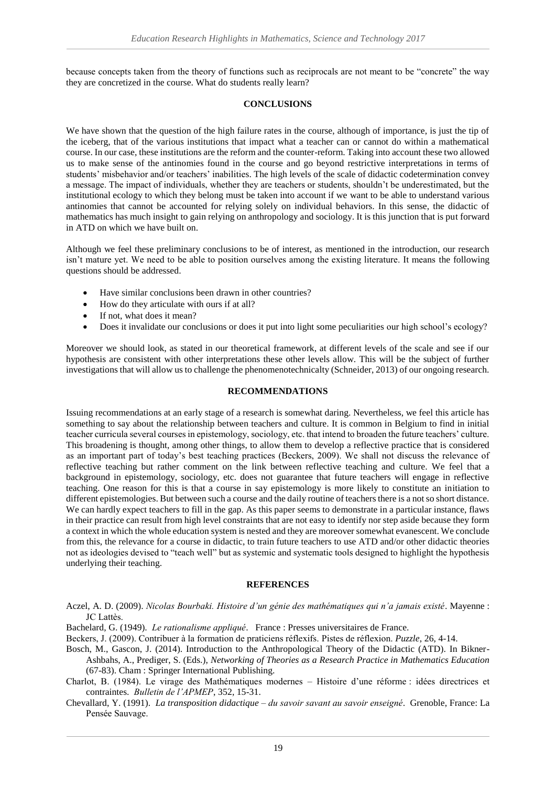because concepts taken from the theory of functions such as reciprocals are not meant to be "concrete" the way they are concretized in the course. What do students really learn?

#### **CONCLUSIONS**

We have shown that the question of the high failure rates in the course, although of importance, is just the tip of the iceberg, that of the various institutions that impact what a teacher can or cannot do within a mathematical course. In our case, these institutions are the reform and the counter-reform. Taking into account these two allowed us to make sense of the antinomies found in the course and go beyond restrictive interpretations in terms of students' misbehavior and/or teachers' inabilities. The high levels of the scale of didactic codetermination convey a message. The impact of individuals, whether they are teachers or students, shouldn't be underestimated, but the institutional ecology to which they belong must be taken into account if we want to be able to understand various antinomies that cannot be accounted for relying solely on individual behaviors. In this sense, the didactic of mathematics has much insight to gain relying on anthropology and sociology. It is this junction that is put forward in ATD on which we have built on.

Although we feel these preliminary conclusions to be of interest, as mentioned in the introduction, our research isn't mature yet. We need to be able to position ourselves among the existing literature. It means the following questions should be addressed.

- Have similar conclusions been drawn in other countries?
- How do they articulate with ours if at all?
- If not, what does it mean?
- Does it invalidate our conclusions or does it put into light some peculiarities our high school's ecology?

Moreover we should look, as stated in our theoretical framework, at different levels of the scale and see if our hypothesis are consistent with other interpretations these other levels allow. This will be the subject of further investigations that will allow us to challenge the phenomenotechnicalty (Schneider, 2013) of our ongoing research.

#### **RECOMMENDATIONS**

Issuing recommendations at an early stage of a research is somewhat daring. Nevertheless, we feel this article has something to say about the relationship between teachers and culture. It is common in Belgium to find in initial teacher curricula several courses in epistemology, sociology, etc. that intend to broaden the future teachers' culture. This broadening is thought, among other things, to allow them to develop a reflective practice that is considered as an important part of today's best teaching practices (Beckers, 2009). We shall not discuss the relevance of reflective teaching but rather comment on the link between reflective teaching and culture. We feel that a background in epistemology, sociology, etc. does not guarantee that future teachers will engage in reflective teaching. One reason for this is that a course in say epistemology is more likely to constitute an initiation to different epistemologies. But between such a course and the daily routine of teachers there is a not so short distance. We can hardly expect teachers to fill in the gap. As this paper seems to demonstrate in a particular instance, flaws in their practice can result from high level constraints that are not easy to identify nor step aside because they form a context in which the whole education system is nested and they are moreover somewhat evanescent. We conclude from this, the relevance for a course in didactic, to train future teachers to use ATD and/or other didactic theories not as ideologies devised to "teach well" but as systemic and systematic tools designed to highlight the hypothesis underlying their teaching.

#### **REFERENCES**

- Aczel, A. D. (2009). *Nicolas Bourbaki. Histoire d'un génie des mathématiques qui n'a jamais existé*. Mayenne : JC Lattès.
- Bachelard, G. (1949). *Le rationalisme appliqué*. France : Presses universitaires de France.
- Beckers, J. (2009). Contribuer à la formation de praticiens réflexifs. Pistes de réflexion. *Puzzle*, 26, 4-14.
- Bosch, M., Gascon, J. (2014). Introduction to the Anthropological Theory of the Didactic (ATD). In Bikner-Ashbahs, A., Prediger, S. (Eds.), *Networking of Theories as a Research Practice in Mathematics Education* (67-83). Cham : Springer International Publishing.
- Charlot, B. (1984). Le virage des Mathématiques modernes Histoire d'une réforme : idées directrices et contraintes. *Bulletin de l'APMEP*, 352, 15-31.
- Chevallard, Y. (1991). *La transposition didactique – du savoir savant au savoir enseigné*. Grenoble, France: La Pensée Sauvage.